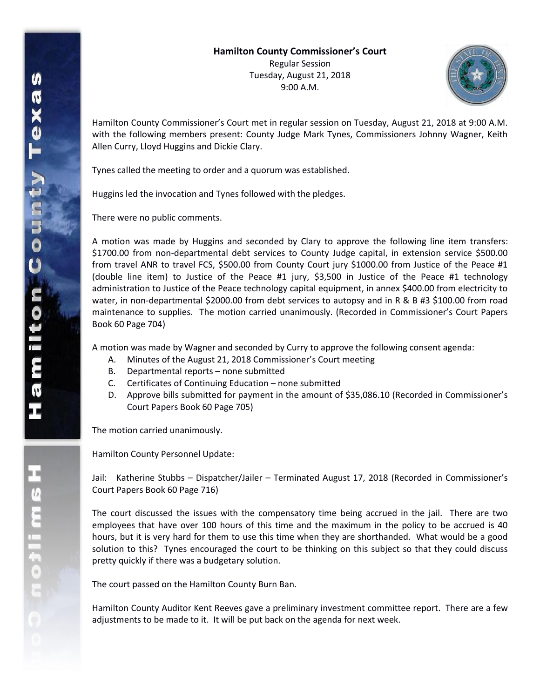

Hamilton County Commissioner's Court met in regular session on Tuesday, August 21, 2018 at 9:00 A.M. with the following members present: County Judge Mark Tynes, Commissioners Johnny Wagner, Keith Allen Curry, Lloyd Huggins and Dickie Clary.

Tynes called the meeting to order and a quorum was established.

Huggins led the invocation and Tynes followed with the pledges.

There were no public comments.

A motion was made by Huggins and seconded by Clary to approve the following line item transfers: \$1700.00 from non-departmental debt services to County Judge capital, in extension service \$500.00 from travel ANR to travel FCS, \$500.00 from County Court jury \$1000.00 from Justice of the Peace #1 (double line item) to Justice of the Peace #1 jury, \$3,500 in Justice of the Peace #1 technology administration to Justice of the Peace technology capital equipment, in annex \$400.00 from electricity to water, in non-departmental \$2000.00 from debt services to autopsy and in R & B #3 \$100.00 from road maintenance to supplies. The motion carried unanimously. (Recorded in Commissioner's Court Papers Book 60 Page 704)

A motion was made by Wagner and seconded by Curry to approve the following consent agenda:

- A. Minutes of the August 21, 2018 Commissioner's Court meeting
- B. Departmental reports none submitted
- C. Certificates of Continuing Education none submitted
- D. Approve bills submitted for payment in the amount of \$35,086.10 (Recorded in Commissioner's Court Papers Book 60 Page 705)

The motion carried unanimously.

Hamilton County Personnel Update:

Jail: Katherine Stubbs – Dispatcher/Jailer – Terminated August 17, 2018 (Recorded in Commissioner's Court Papers Book 60 Page 716)

The court discussed the issues with the compensatory time being accrued in the jail. There are two employees that have over 100 hours of this time and the maximum in the policy to be accrued is 40 hours, but it is very hard for them to use this time when they are shorthanded. What would be a good solution to this? Tynes encouraged the court to be thinking on this subject so that they could discuss pretty quickly if there was a budgetary solution.

The court passed on the Hamilton County Burn Ban.

Hamilton County Auditor Kent Reeves gave a preliminary investment committee report. There are a few adjustments to be made to it. It will be put back on the agenda for next week.

エムミニャクこ